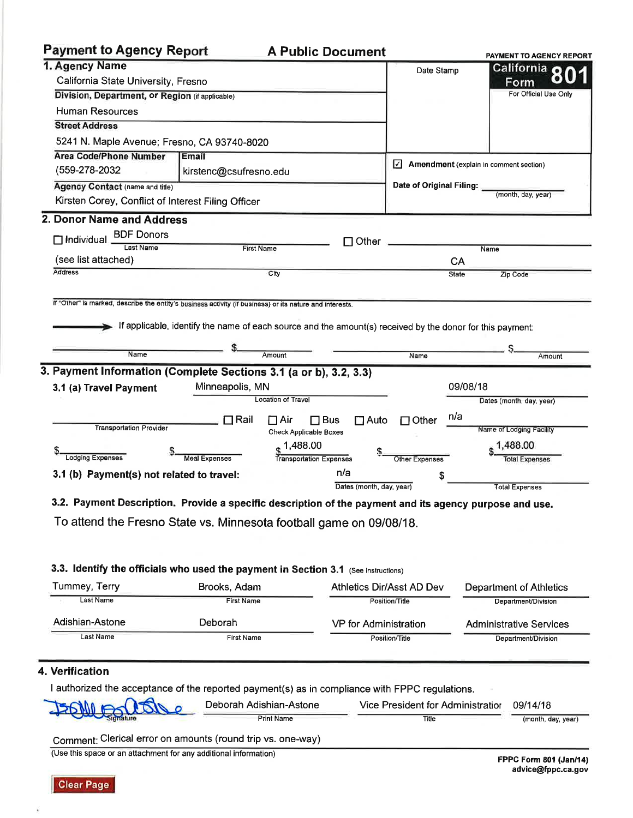# **Payment to Agency Report**

### **A Public Document**

|                                                                                                          |                                                                                                           |                               |                                                             |                          |              | <b>PAYMENT TO AGENCY REPORT</b> |
|----------------------------------------------------------------------------------------------------------|-----------------------------------------------------------------------------------------------------------|-------------------------------|-------------------------------------------------------------|--------------------------|--------------|---------------------------------|
|                                                                                                          | 1. Agency Name                                                                                            |                               |                                                             |                          | Date Stamp   | California O                    |
| California State University, Fresno                                                                      |                                                                                                           |                               |                                                             |                          |              | Form                            |
| Division, Department, or Region (if applicable)<br><b>Human Resources</b>                                |                                                                                                           |                               |                                                             |                          |              | For Official Use Only           |
|                                                                                                          |                                                                                                           |                               |                                                             |                          |              |                                 |
| <b>Street Address</b>                                                                                    |                                                                                                           |                               |                                                             |                          |              |                                 |
| 5241 N. Maple Avenue; Fresno, CA 93740-8020                                                              |                                                                                                           |                               |                                                             |                          |              |                                 |
| <b>Area Code/Phone Number</b>                                                                            | Email                                                                                                     |                               |                                                             |                          |              |                                 |
| (559-278-2032                                                                                            | kirstenc@csufresno.edu                                                                                    |                               | $\sqrt{\phantom{a}}$ Amendment (explain in comment section) |                          |              |                                 |
| <b>Agency Contact (name and title)</b>                                                                   |                                                                                                           |                               |                                                             | Date of Original Filing: |              |                                 |
| Kirsten Corey, Conflict of Interest Filing Officer                                                       |                                                                                                           |                               |                                                             |                          |              | (month, day, year)              |
| 2. Donor Name and Address                                                                                |                                                                                                           |                               |                                                             |                          |              |                                 |
| <b>BDF Donors</b><br>$\Box$ Individual                                                                   |                                                                                                           |                               |                                                             |                          |              |                                 |
| <b>Last Name</b>                                                                                         |                                                                                                           | <b>First Name</b>             | $\Box$ Other                                                |                          |              | Name                            |
| (see list attached)                                                                                      |                                                                                                           |                               |                                                             |                          | CA           |                                 |
| <b>Address</b>                                                                                           |                                                                                                           | City                          |                                                             |                          | <b>State</b> | Zip Code                        |
|                                                                                                          |                                                                                                           |                               |                                                             |                          |              |                                 |
| If "Other" is marked, describe the entity's business activity (if business) or its nature and interests. | If applicable, identify the name of each source and the amount(s) received by the donor for this payment: |                               |                                                             |                          |              |                                 |
|                                                                                                          |                                                                                                           |                               |                                                             |                          |              |                                 |
| Name                                                                                                     |                                                                                                           | Amount                        |                                                             | Name                     |              | Amount                          |
| 3. Payment Information (Complete Sections 3.1 (a or b), 3.2, 3.3)                                        |                                                                                                           |                               |                                                             |                          |              |                                 |
| 3.1 (a) Travel Payment                                                                                   | Minneapolis, MN                                                                                           |                               |                                                             |                          | 09/08/18     |                                 |
|                                                                                                          |                                                                                                           | <b>Location of Travel</b>     |                                                             |                          |              | Dates (month, day, year)        |
|                                                                                                          | $\Box$ Rail                                                                                               | $\Box$ Air<br>$\square$ Bus   | $\Box$ Auto                                                 | $\Box$ Other             | n/a          |                                 |
| <b>Transportation Provider</b>                                                                           |                                                                                                           | <b>Check Applicable Boxes</b> |                                                             |                          |              | Name of Lodging Facility        |
|                                                                                                          |                                                                                                           | 1,488.00                      |                                                             |                          |              | 1,488.00                        |
| <b>Lodging Expenses</b>                                                                                  | <b>Meal Expenses</b>                                                                                      | Transportation Expenses       |                                                             | <b>Other Expenses</b>    |              | <b>Total Expenses</b>           |
| 3.1 (b) Payment(s) not related to travel:                                                                |                                                                                                           |                               | n/a                                                         |                          |              |                                 |
|                                                                                                          |                                                                                                           |                               | Dates (month, day, year)                                    |                          |              | <b>Total Expenses</b>           |
| 3.2. Payment Description. Provide a specific description of the payment and its agency purpose and use.  |                                                                                                           |                               |                                                             |                          |              |                                 |

To attend the Fresno State vs. Minnesota football game on 09/08/18.

## 3.3. Identify the officials who used the payment in Section 3.1 (See instructions)

| Tummey, Terry   | Brooks, Adam      | Athletics Dir/Asst AD Dev | Department of Athletics        |
|-----------------|-------------------|---------------------------|--------------------------------|
| Last Name       | <b>First Name</b> | Position/Title            | Department/Division            |
| Adishian-Astone | Deborah           | VP for Administration     | <b>Administrative Services</b> |
| Last Name       | <b>First Name</b> | Position/Title            | Department/Division            |

### 4. Verification

×

I authorized the acceptance of the reported payment(s) as in compliance with FPPC regulations.

| JEONIA PORTO | Deborah Adishian-Astone | Vice President for Administratior | 09/14/18           |
|--------------|-------------------------|-----------------------------------|--------------------|
|              | <b>Print Name</b>       | Title                             | (month, day, year) |

Comment: Clerical error on amounts (round trip vs. one-way)

(Use this space or an attachment for any additional information)

 $\frac{1}{2}$